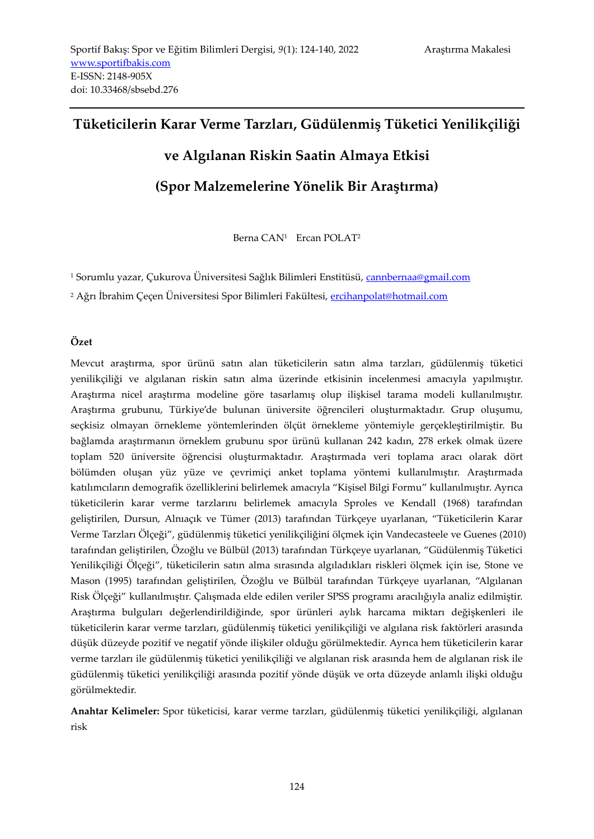# **Tüketicilerin Karar Verme Tarzları, Güdülenmiş Tüketici Yenilikçiliği ve Algılanan Riskin Saatin Almaya Etkisi**

**(Spor Malzemelerine Yönelik Bir Araştırma)**

Berna CAN<sup>1</sup> Ercan POLAT<sup>2</sup>

<sup>1</sup> Sorumlu yazar, Çukurova Üniversitesi Sağlık Bilimleri Enstitüsü, [cannbernaa@gmail.com](mailto:cannbernaa@gmail.com)

<sup>2</sup> Ağrı İbrahim Çeçen Üniversitesi Spor Bilimleri Fakültesi, [ercihanpolat@hotmail.com](mailto:ercihanpolat@hotmail.com)

# **Özet**

Mevcut araştırma, spor ürünü satın alan tüketicilerin satın alma tarzları, güdülenmiş tüketici yenilikçiliği ve algılanan riskin satın alma üzerinde etkisinin incelenmesi amacıyla yapılmıştır. Araştırma nicel araştırma modeline göre tasarlamış olup ilişkisel tarama modeli kullanılmıştır. Araştırma grubunu, Türkiye'de bulunan üniversite öğrencileri oluşturmaktadır. Grup oluşumu, seçkisiz olmayan örnekleme yöntemlerinden ölçüt örnekleme yöntemiyle gerçekleştirilmiştir. Bu bağlamda araştırmanın örneklem grubunu spor ürünü kullanan 242 kadın, 278 erkek olmak üzere toplam 520 üniversite öğrencisi oluşturmaktadır. Araştırmada veri toplama aracı olarak dört bölümden oluşan yüz yüze ve çevrimiçi anket toplama yöntemi kullanılmıştır. Araştırmada katılımcıların demografik özelliklerini belirlemek amacıyla "Kişisel Bilgi Formu" kullanılmıştır. Ayrıca tüketicilerin karar verme tarzlarını belirlemek amacıyla Sproles ve Kendall (1968) tarafından geliştirilen, Dursun, Alnıaçık ve Tümer (2013) tarafından Türkçeye uyarlanan, "Tüketicilerin Karar Verme Tarzları Ölçeği", güdülenmiş tüketici yenilikçiliğini ölçmek için Vandecasteele ve Guenes (2010) tarafından geliştirilen, Özoğlu ve Bülbül (2013) tarafından Türkçeye uyarlanan, "Güdülenmiş Tüketici Yenilikçiliği Ölçeği", tüketicilerin satın alma sırasında algıladıkları riskleri ölçmek için ise, Stone ve Mason (1995) tarafından geliştirilen, Özoğlu ve Bülbül tarafından Türkçeye uyarlanan, "Algılanan Risk Ölçeği" kullanılmıştır. Çalışmada elde edilen veriler SPSS programı aracılığıyla analiz edilmiştir. Araştırma bulguları değerlendirildiğinde, spor ürünleri aylık harcama miktarı değişkenleri ile tüketicilerin karar verme tarzları, güdülenmiş tüketici yenilikçiliği ve algılana risk faktörleri arasında düşük düzeyde pozitif ve negatif yönde ilişkiler olduğu görülmektedir. Ayrıca hem tüketicilerin karar verme tarzları ile güdülenmiş tüketici yenilikçiliği ve algılanan risk arasında hem de algılanan risk ile güdülenmiş tüketici yenilikçiliği arasında pozitif yönde düşük ve orta düzeyde anlamlı ilişki olduğu görülmektedir.

**Anahtar Kelimeler:** Spor tüketicisi, karar verme tarzları, güdülenmiş tüketici yenilikçiliği, algılanan risk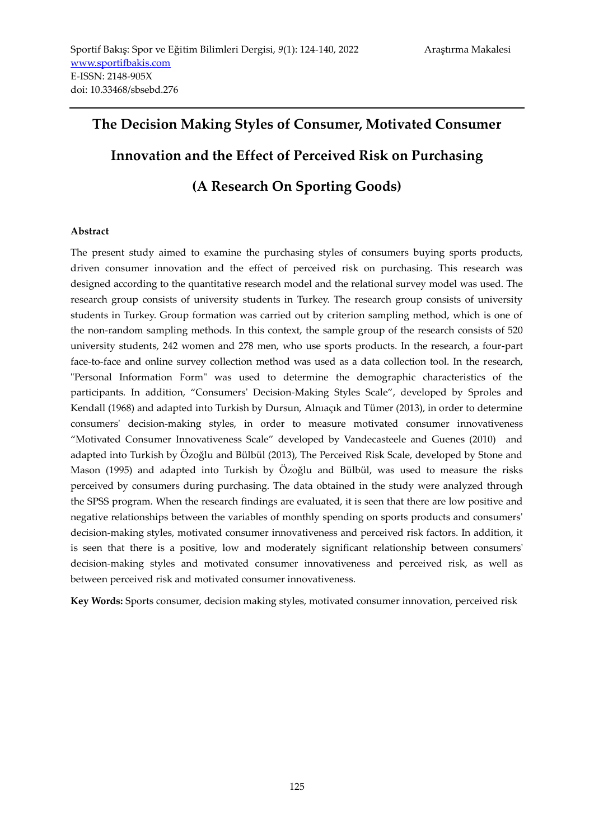# **The Decision Making Styles of Consumer, Motivated Consumer Innovation and the Effect of Perceived Risk on Purchasing (A Research On Sporting Goods)**

#### **Abstract**

The present study aimed to examine the purchasing styles of consumers buying sports products, driven consumer innovation and the effect of perceived risk on purchasing. This research was designed according to the quantitative research model and the relational survey model was used. The research group consists of university students in Turkey. The research group consists of university students in Turkey. Group formation was carried out by criterion sampling method, which is one of the non-random sampling methods. In this context, the sample group of the research consists of 520 university students, 242 women and 278 men, who use sports products. In the research, a four-part face-to-face and online survey collection method was used as a data collection tool. In the research, "Personal Information Form" was used to determine the demographic characteristics of the participants. In addition, "Consumers' Decision-Making Styles Scale", developed by Sproles and Kendall (1968) and adapted into Turkish by Dursun, Alnıaçık and Tümer (2013), in order to determine consumers' decision-making styles, in order to measure motivated consumer innovativeness "Motivated Consumer Innovativeness Scale" developed by Vandecasteele and Guenes (2010) and adapted into Turkish by Özoğlu and Bülbül (2013), The Perceived Risk Scale, developed by Stone and Mason (1995) and adapted into Turkish by Özoğlu and Bülbül, was used to measure the risks perceived by consumers during purchasing. The data obtained in the study were analyzed through the SPSS program. When the research findings are evaluated, it is seen that there are low positive and negative relationships between the variables of monthly spending on sports products and consumers' decision-making styles, motivated consumer innovativeness and perceived risk factors. In addition, it is seen that there is a positive, low and moderately significant relationship between consumers' decision-making styles and motivated consumer innovativeness and perceived risk, as well as between perceived risk and motivated consumer innovativeness.

**Key Words:** Sports consumer, decision making styles, motivated consumer innovation, perceived risk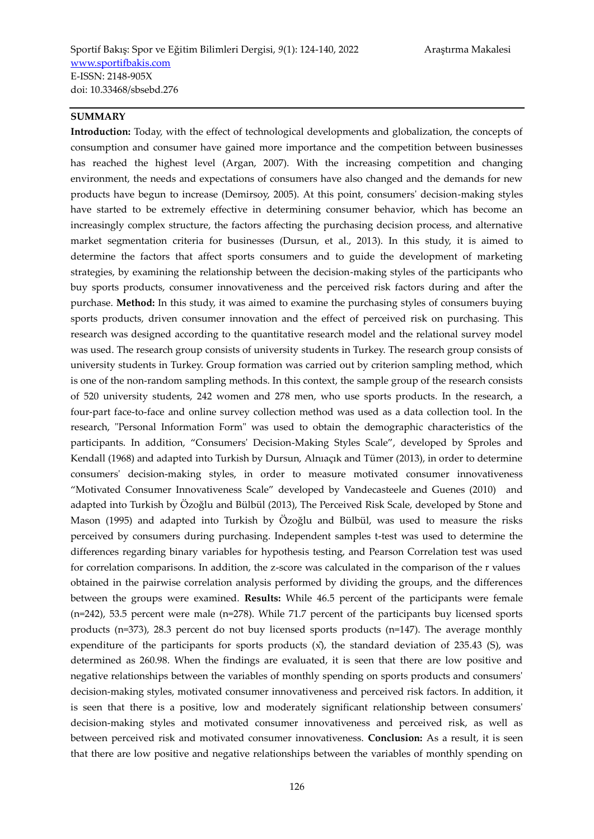#### **SUMMARY**

**Introduction:** Today, with the effect of technological developments and globalization, the concepts of consumption and consumer have gained more importance and the competition between businesses has reached the highest level (Argan, 2007). With the increasing competition and changing environment, the needs and expectations of consumers have also changed and the demands for new products have begun to increase (Demirsoy, 2005). At this point, consumers' decision-making styles have started to be extremely effective in determining consumer behavior, which has become an increasingly complex structure, the factors affecting the purchasing decision process, and alternative market segmentation criteria for businesses (Dursun, et al., 2013). In this study, it is aimed to determine the factors that affect sports consumers and to guide the development of marketing strategies, by examining the relationship between the decision-making styles of the participants who buy sports products, consumer innovativeness and the perceived risk factors during and after the purchase. **Method:** In this study, it was aimed to examine the purchasing styles of consumers buying sports products, driven consumer innovation and the effect of perceived risk on purchasing. This research was designed according to the quantitative research model and the relational survey model was used. The research group consists of university students in Turkey. The research group consists of university students in Turkey. Group formation was carried out by criterion sampling method, which is one of the non-random sampling methods. In this context, the sample group of the research consists of 520 university students, 242 women and 278 men, who use sports products. In the research, a four-part face-to-face and online survey collection method was used as a data collection tool. In the research, "Personal Information Form" was used to obtain the demographic characteristics of the participants. In addition, "Consumers' Decision-Making Styles Scale", developed by Sproles and Kendall (1968) and adapted into Turkish by Dursun, Alnıaçık and Tümer (2013), in order to determine consumers' decision-making styles, in order to measure motivated consumer innovativeness "Motivated Consumer Innovativeness Scale" developed by Vandecasteele and Guenes (2010) and adapted into Turkish by Özoğlu and Bülbül (2013), The Perceived Risk Scale, developed by Stone and Mason (1995) and adapted into Turkish by Özoğlu and Bülbül, was used to measure the risks perceived by consumers during purchasing. Independent samples t-test was used to determine the differences regarding binary variables for hypothesis testing, and Pearson Correlation test was used for correlation comparisons. In addition, the z-score was calculated in the comparison of the r values obtained in the pairwise correlation analysis performed by dividing the groups, and the differences between the groups were examined. **Results:** While 46.5 percent of the participants were female (n=242), 53.5 percent were male (n=278). While 71.7 percent of the participants buy licensed sports products (n=373), 28.3 percent do not buy licensed sports products (n=147). The average monthly expenditure of the participants for sports products  $(x)$ , the standard deviation of 235.43 (S), was determined as 260.98. When the findings are evaluated, it is seen that there are low positive and negative relationships between the variables of monthly spending on sports products and consumers' decision-making styles, motivated consumer innovativeness and perceived risk factors. In addition, it is seen that there is a positive, low and moderately significant relationship between consumers' decision-making styles and motivated consumer innovativeness and perceived risk, as well as between perceived risk and motivated consumer innovativeness. **Conclusion:** As a result, it is seen that there are low positive and negative relationships between the variables of monthly spending on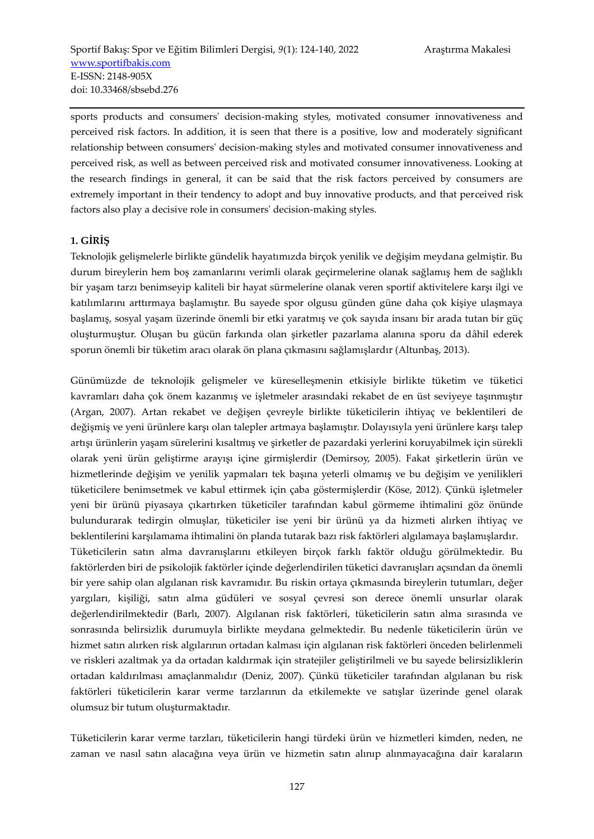sports products and consumers' decision-making styles, motivated consumer innovativeness and perceived risk factors. In addition, it is seen that there is a positive, low and moderately significant relationship between consumers' decision-making styles and motivated consumer innovativeness and perceived risk, as well as between perceived risk and motivated consumer innovativeness. Looking at the research findings in general, it can be said that the risk factors perceived by consumers are extremely important in their tendency to adopt and buy innovative products, and that perceived risk factors also play a decisive role in consumers' decision-making styles.

# **1. GİRİŞ**

Teknolojik gelişmelerle birlikte gündelik hayatımızda birçok yenilik ve değişim meydana gelmiştir. Bu durum bireylerin hem boş zamanlarını verimli olarak geçirmelerine olanak sağlamış hem de sağlıklı bir yaşam tarzı benimseyip kaliteli bir hayat sürmelerine olanak veren sportif aktivitelere karşı ilgi ve katılımlarını arttırmaya başlamıştır. Bu sayede spor olgusu günden güne daha çok kişiye ulaşmaya başlamış, sosyal yaşam üzerinde önemli bir etki yaratmış ve çok sayıda insanı bir arada tutan bir güç oluşturmuştur. Oluşan bu gücün farkında olan şirketler pazarlama alanına sporu da dâhil ederek sporun önemli bir tüketim aracı olarak ön plana çıkmasını sağlamışlardır (Altunbaş, 2013).

Günümüzde de teknolojik gelişmeler ve küreselleşmenin etkisiyle birlikte tüketim ve tüketici kavramları daha çok önem kazanmış ve işletmeler arasındaki rekabet de en üst seviyeye taşınmıştır (Argan, 2007). Artan rekabet ve değişen çevreyle birlikte tüketicilerin ihtiyaç ve beklentileri de değişmiş ve yeni ürünlere karşı olan talepler artmaya başlamıştır. Dolayısıyla yeni ürünlere karşı talep artışı ürünlerin yaşam sürelerini kısaltmış ve şirketler de pazardaki yerlerini koruyabilmek için sürekli olarak yeni ürün geliştirme arayışı içine girmişlerdir (Demirsoy, 2005). Fakat şirketlerin ürün ve hizmetlerinde değişim ve yenilik yapmaları tek başına yeterli olmamış ve bu değişim ve yenilikleri tüketicilere benimsetmek ve kabul ettirmek için çaba göstermişlerdir (Köse, 2012). Çünkü işletmeler yeni bir ürünü piyasaya çıkartırken tüketiciler tarafından kabul görmeme ihtimalini göz önünde bulundurarak tedirgin olmuşlar, tüketiciler ise yeni bir ürünü ya da hizmeti alırken ihtiyaç ve beklentilerini karşılamama ihtimalini ön planda tutarak bazı risk faktörleri algılamaya başlamışlardır. Tüketicilerin satın alma davranışlarını etkileyen birçok farklı faktör olduğu görülmektedir. Bu faktörlerden biri de psikolojik faktörler içinde değerlendirilen tüketici davranışları açsından da önemli bir yere sahip olan algılanan risk kavramıdır. Bu riskin ortaya çıkmasında bireylerin tutumları, değer yargıları, kişiliği, satın alma güdüleri ve sosyal çevresi son derece önemli unsurlar olarak değerlendirilmektedir (Barlı, 2007). Algılanan risk faktörleri, tüketicilerin satın alma sırasında ve sonrasında belirsizlik durumuyla birlikte meydana gelmektedir. Bu nedenle tüketicilerin ürün ve hizmet satın alırken risk algılarının ortadan kalması için algılanan risk faktörleri önceden belirlenmeli ve riskleri azaltmak ya da ortadan kaldırmak için stratejiler geliştirilmeli ve bu sayede belirsizliklerin ortadan kaldırılması amaçlanmalıdır (Deniz, 2007). Çünkü tüketiciler tarafından algılanan bu risk faktörleri tüketicilerin karar verme tarzlarının da etkilemekte ve satışlar üzerinde genel olarak olumsuz bir tutum oluşturmaktadır.

Tüketicilerin karar verme tarzları, tüketicilerin hangi türdeki ürün ve hizmetleri kimden, neden, ne zaman ve nasıl satın alacağına veya ürün ve hizmetin satın alınıp alınmayacağına dair karaların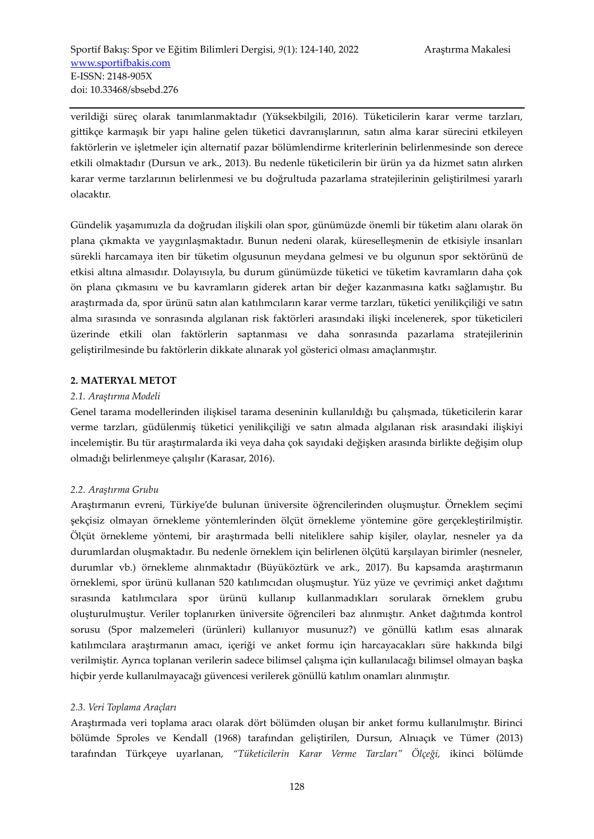verildiği süreç olarak tanımlanmaktadır (Yüksekbilgili, 2016). Tüketicilerin karar verme tarzları, gittikçe karmaşık bir yapı haline gelen tüketici davranışlarının, satın alma karar sürecini etkileyen faktörlerin ve işletmeler için alternatif pazar bölümlendirme kriterlerinin belirlenmesinde son derece etkili olmaktadır (Dursun ve ark., 2013). Bu nedenle tüketicilerin bir ürün ya da hizmet satın alırken karar verme tarzlarının belirlenmesi ve bu doğrultuda pazarlama stratejilerinin geliştirilmesi yararlı olacaktır.

Gündelik yaşamımızla da doğrudan ilişkili olan spor, günümüzde önemli bir tüketim alanı olarak ön plana çıkmakta ve yaygınlaşmaktadır. Bunun nedeni olarak, küreselleşmenin de etkisiyle insanları sürekli harcamaya iten bir tüketim olgusunun meydana gelmesi ve bu olgunun spor sektörünü de etkisi altına almasıdır. Dolayısıyla, bu durum günümüzde tüketici ve tüketim kavramların daha çok ön plana çıkmasını ve bu kavramların giderek artan bir değer kazanmasına katkı sağlamıştır. Bu araştırmada da, spor ürünü satın alan katılımcıların karar verme tarzları, tüketici yenilikçiliği ve satın alma sırasında ve sonrasında algılanan risk faktörleri arasındaki ilişki incelenerek, spor tüketicileri üzerinde etkili olan faktörlerin saptanması ve daha sonrasında pazarlama stratejilerinin geliştirilmesinde bu faktörlerin dikkate alınarak yol gösterici olması amaçlanmıştır.

#### **2. MATERYAL METOT**

#### *2.1. Araştırma Modeli*

Genel tarama modellerinden ilişkisel tarama deseninin kullanıldığı bu çalışmada, tüketicilerin karar verme tarzları, güdülenmiş tüketici yenilikçiliği ve satın almada algılanan risk arasındaki ilişkiyi incelemiştir. Bu tür araştırmalarda iki veya daha çok sayıdaki değişken arasında birlikte değişim olup olmadığı belirlenmeye çalışılır (Karasar, 2016).

# *2.2. Araştırma Grubu*

Araştırmanın evreni, Türkiye'de bulunan üniversite öğrencilerinden oluşmuştur. Örneklem seçimi şekçisiz olmayan örnekleme yöntemlerinden ölçüt örnekleme yöntemine göre gerçekleştirilmiştir. Ölçüt örnekleme yöntemi, bir araştırmada belli niteliklere sahip kişiler, olaylar, nesneler ya da durumlardan oluşmaktadır. Bu nedenle örneklem için belirlenen ölçütü karşılayan birimler (nesneler, durumlar vb.) örnekleme alınmaktadır (Büyüköztürk ve ark., 2017). Bu kapsamda araştırmanın örneklemi, spor ürünü kullanan 520 katılımcıdan oluşmuştur. Yüz yüze ve çevrimiçi anket dağıtımı sırasında katılımcılara spor ürünü kullanıp kullanmadıkları sorularak örneklem grubu oluşturulmuştur. Veriler toplanırken üniversite öğrencileri baz alınmıştır. Anket dağıtımda kontrol sorusu (Spor malzemeleri (ürünleri) kullanıyor musunuz?) ve gönüllü katlım esas alınarak katılımcılara araştırmanın amacı, içeriği ve anket formu için harcayacakları süre hakkında bilgi verilmiştir. Ayrıca toplanan verilerin sadece bilimsel çalışma için kullanılacağı bilimsel olmayan başka hiçbir yerde kullanılmayacağı güvencesi verilerek gönüllü katılım onamları alınmıştır.

#### *2.3. Veri Toplama Araçları*

Araştırmada veri toplama aracı olarak dört bölümden oluşan bir anket formu kullanılmıştır. Birinci bölümde Sproles ve Kendall (1968) tarafından geliştirilen, Dursun, Alnıaçık ve Tümer (2013) tarafından Türkçeye uyarlanan, *"Tüketicilerin Karar Verme Tarzları" Ölçeği,* ikinci bölümde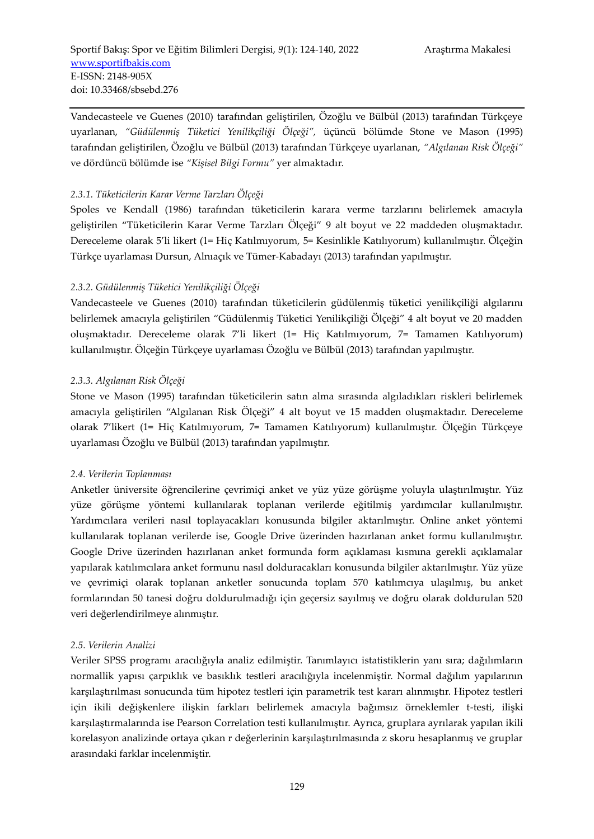Vandecasteele ve Guenes (2010) tarafından geliştirilen, Özoğlu ve Bülbül (2013) tarafından Türkçeye uyarlanan, *"Güdülenmiş Tüketici Yenilikçiliği Ölçeği",* üçüncü bölümde Stone ve Mason (1995) tarafından geliştirilen, Özoğlu ve Bülbül (2013) tarafından Türkçeye uyarlanan, *"Algılanan Risk Ölçeği"* ve dördüncü bölümde ise *"Kişisel Bilgi Formu"* yer almaktadır.

# *2.3.1. Tüketicilerin Karar Verme Tarzları Ölçeği*

Spoles ve Kendall (1986) tarafından tüketicilerin karara verme tarzlarını belirlemek amacıyla geliştirilen "Tüketicilerin Karar Verme Tarzları Ölçeği" 9 alt boyut ve 22 maddeden oluşmaktadır. Dereceleme olarak 5'li likert (1= Hiç Katılmıyorum, 5= Kesinlikle Katılıyorum) kullanılmıştır. Ölçeğin Türkçe uyarlaması Dursun, Alnıaçık ve Tümer-Kabadayı (2013) tarafından yapılmıştır.

# *2.3.2. Güdülenmiş Tüketici Yenilikçiliği Ölçeği*

Vandecasteele ve Guenes (2010) tarafından tüketicilerin güdülenmiş tüketici yenilikçiliği algılarını belirlemek amacıyla geliştirilen "Güdülenmiş Tüketici Yenilikçiliği Ölçeği" 4 alt boyut ve 20 madden oluşmaktadır. Dereceleme olarak 7'li likert (1= Hiç Katılmıyorum, 7= Tamamen Katılıyorum) kullanılmıştır. Ölçeğin Türkçeye uyarlaması Özoğlu ve Bülbül (2013) tarafından yapılmıştır.

# *2.3.3. Algılanan Risk Ölçeği*

Stone ve Mason (1995) tarafından tüketicilerin satın alma sırasında algıladıkları riskleri belirlemek amacıyla geliştirilen "Algılanan Risk Ölçeği" 4 alt boyut ve 15 madden oluşmaktadır. Dereceleme olarak 7'likert (1= Hiç Katılmıyorum, 7= Tamamen Katılıyorum) kullanılmıştır. Ölçeğin Türkçeye uyarlaması Özoğlu ve Bülbül (2013) tarafından yapılmıştır.

# *2.4. Verilerin Toplanması*

Anketler üniversite öğrencilerine çevrimiçi anket ve yüz yüze görüşme yoluyla ulaştırılmıştır. Yüz yüze görüşme yöntemi kullanılarak toplanan verilerde eğitilmiş yardımcılar kullanılmıştır. Yardımcılara verileri nasıl toplayacakları konusunda bilgiler aktarılmıştır. Online anket yöntemi kullanılarak toplanan verilerde ise, Google Drive üzerinden hazırlanan anket formu kullanılmıştır. Google Drive üzerinden hazırlanan anket formunda form açıklaması kısmına gerekli açıklamalar yapılarak katılımcılara anket formunu nasıl dolduracakları konusunda bilgiler aktarılmıştır. Yüz yüze ve çevrimiçi olarak toplanan anketler sonucunda toplam 570 katılımcıya ulaşılmış, bu anket formlarından 50 tanesi doğru doldurulmadığı için geçersiz sayılmış ve doğru olarak doldurulan 520 veri değerlendirilmeye alınmıştır.

# *2.5. Verilerin Analizi*

Veriler SPSS programı aracılığıyla analiz edilmiştir. Tanımlayıcı istatistiklerin yanı sıra; dağılımların normallik yapısı çarpıklık ve basıklık testleri aracılığıyla incelenmiştir. Normal dağılım yapılarının karşılaştırılması sonucunda tüm hipotez testleri için parametrik test kararı alınmıştır. Hipotez testleri için ikili değişkenlere ilişkin farkları belirlemek amacıyla bağımsız örneklemler t-testi, ilişki karşılaştırmalarında ise Pearson Correlation testi kullanılmıştır. Ayrıca, gruplara ayrılarak yapılan ikili korelasyon analizinde ortaya çıkan r değerlerinin karşılaştırılmasında z skoru hesaplanmış ve gruplar arasındaki farklar incelenmiştir.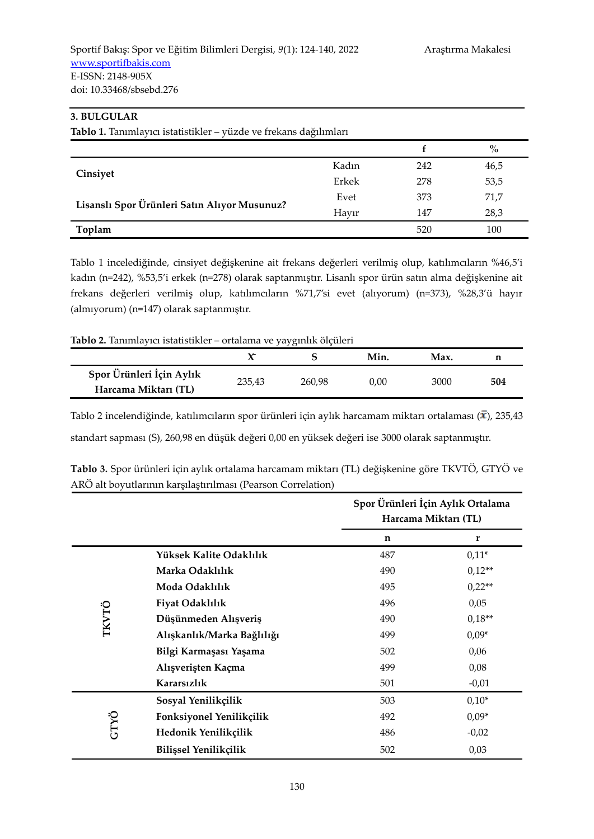# **3. BULGULAR**

| Tablo 1. Tanımlayıcı istatistikler - yüzde ve frekans dağılımları |       |     |      |  |  |  |
|-------------------------------------------------------------------|-------|-----|------|--|--|--|
|                                                                   |       |     | $\%$ |  |  |  |
|                                                                   | Kadın | 242 | 46,5 |  |  |  |
| Cinsiyet                                                          | Erkek | 278 | 53,5 |  |  |  |
| Lisanslı Spor Ürünleri Satın Alıyor Musunuz?                      | Evet  | 373 | 71,7 |  |  |  |
|                                                                   | Hayır | 147 | 28,3 |  |  |  |
| Toplam                                                            |       | 520 | 100  |  |  |  |

Tablo 1 incelediğinde, cinsiyet değişkenine ait frekans değerleri verilmiş olup, katılımcıların %46,5'i kadın (n=242), %53,5'i erkek (n=278) olarak saptanmıştır. Lisanlı spor ürün satın alma değişkenine ait frekans değerleri verilmiş olup, katılımcıların %71,7'si evet (alıyorum) (n=373), %28,3'ü hayır (almıyorum) (n=147) olarak saptanmıştır.

#### **Tablo 2.** Tanımlayıcı istatistikler – ortalama ve yaygınlık ölçüleri

|                                                  |        | ╯◡     | Min. | Max. |     |
|--------------------------------------------------|--------|--------|------|------|-----|
| Spor Ürünleri İçin Aylık<br>Harcama Miktarı (TL) | 235,43 | 260.98 | 0.00 | 3000 | 504 |

Tablo 2 incelendiğinde, katılımcıların spor ürünleri için aylık harcamam miktarı ortalaması ( $\bar{x}$ ), 235,43 standart sapması (S), 260,98 en düşük değeri 0,00 en yüksek değeri ise 3000 olarak saptanmıştır.

|              |                              | Spor Ürünleri İçin Aylık Ortalama<br>Harcama Miktarı (TL) |          |  |
|--------------|------------------------------|-----------------------------------------------------------|----------|--|
|              |                              | n                                                         | r        |  |
|              | Yüksek Kalite Odaklılık      | 487                                                       | $0,11*$  |  |
|              | Marka Odaklılık              | 490                                                       | $0.12**$ |  |
|              | Moda Odaklılık               | 495                                                       | $0,22**$ |  |
|              | Fiyat Odaklılık              | 496                                                       | 0,05     |  |
| <b>TKVTÖ</b> | Düşünmeden Alışveriş         | 490                                                       | $0.18**$ |  |
|              | Alışkanlık/Marka Bağlılığı   | 499                                                       | $0.09*$  |  |
|              | Bilgi Karmaşası Yaşama       | 502                                                       | 0,06     |  |
|              | Alışverişten Kaçma           | 499                                                       | 0,08     |  |
|              | Kararsızlık                  | 501                                                       | $-0,01$  |  |
|              | Sosyal Yenilikçilik          | 503                                                       | $0,10*$  |  |
|              | Fonksiyonel Yenilikçilik     | 492                                                       | $0.09*$  |  |
| GTYÖ         | Hedonik Yenilikçilik         | 486                                                       | $-0,02$  |  |
|              | <b>Bilissel Yenilikçilik</b> | 502                                                       | 0,03     |  |

| Tablo 3. Spor ürünleri için aylık ortalama harcamam miktarı (TL) değişkenine göre TKVTÖ, GTYÖ ve |  |
|--------------------------------------------------------------------------------------------------|--|
| ARÖ alt boyutlarının karşılaştırılması (Pearson Correlation)                                     |  |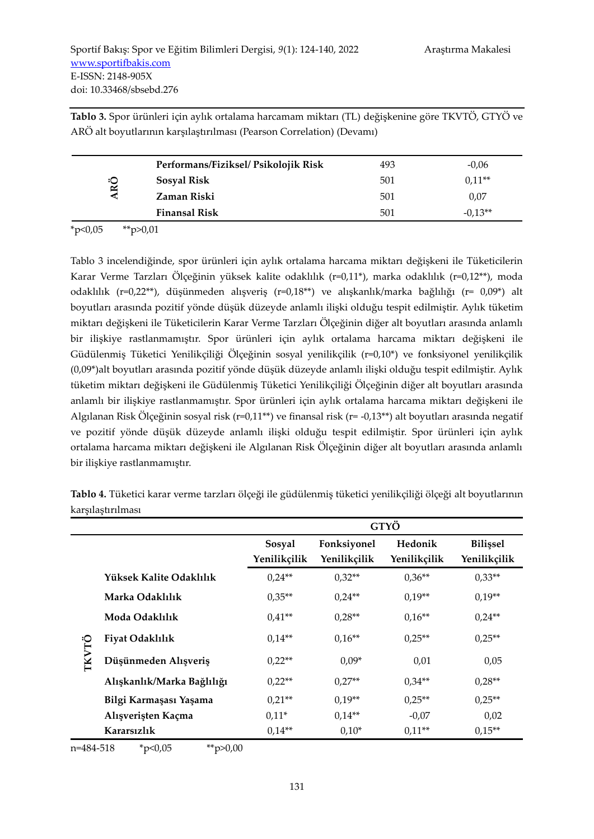**Tablo 3.** Spor ürünleri için aylık ortalama harcamam miktarı (TL) değişkenine göre TKVTÖ, GTYÖ ve ARÖ alt boyutlarının karşılaştırılması (Pearson Correlation) (Devamı)

|                 | Performans/Fiziksel/ Psikolojik Risk | 493 | $-0.06$   |
|-----------------|--------------------------------------|-----|-----------|
| ŘÖ              | Sosyal Risk                          | 501 | $0.11**$  |
| $\triangleleft$ | Zaman Riski                          | 501 | 0,07      |
|                 | <b>Finansal Risk</b>                 | 501 | $-0.13**$ |

 $*p<0,05$   $*p>0,01$ 

Tablo 3 incelendiğinde, spor ürünleri için aylık ortalama harcama miktarı değişkeni ile Tüketicilerin Karar Verme Tarzları Ölçeğinin yüksek kalite odaklılık (r=0,11\*), marka odaklılık (r=0,12\*\*), moda odaklılık (r=0,22\*\*), düşünmeden alışveriş (r=0,18\*\*) ve alışkanlık/marka bağlılığı (r= 0,09\*) alt boyutları arasında pozitif yönde düşük düzeyde anlamlı ilişki olduğu tespit edilmiştir. Aylık tüketim miktarı değişkeni ile Tüketicilerin Karar Verme Tarzları Ölçeğinin diğer alt boyutları arasında anlamlı bir ilişkiye rastlanmamıştır. Spor ürünleri için aylık ortalama harcama miktarı değişkeni ile Güdülenmiş Tüketici Yenilikçiliği Ölçeğinin sosyal yenilikçilik (r=0,10\*) ve fonksiyonel yenilikçilik (0,09\*)alt boyutları arasında pozitif yönde düşük düzeyde anlamlı ilişki olduğu tespit edilmiştir. Aylık tüketim miktarı değişkeni ile Güdülenmiş Tüketici Yenilikçiliği Ölçeğinin diğer alt boyutları arasında anlamlı bir ilişkiye rastlanmamıştır. Spor ürünleri için aylık ortalama harcama miktarı değişkeni ile Algılanan Risk Ölçeğinin sosyal risk (r=0,11\*\*) ve finansal risk (r= -0,13\*\*) alt boyutları arasında negatif ve pozitif yönde düşük düzeyde anlamlı ilişki olduğu tespit edilmiştir. Spor ürünleri için aylık ortalama harcama miktarı değişkeni ile Algılanan Risk Ölçeğinin diğer alt boyutları arasında anlamlı bir ilişkiye rastlanmamıştır.

**Tablo 4.** Tüketici karar verme tarzları ölçeği ile güdülenmiş tüketici yenilikçiliği ölçeği alt boyutlarının karşılaştırılması

|       |                            | GTYÖ         |              |              |                 |  |  |  |  |
|-------|----------------------------|--------------|--------------|--------------|-----------------|--|--|--|--|
|       |                            | Sosyal       | Fonksiyonel  | Hedonik      | <b>Bilissel</b> |  |  |  |  |
|       |                            | Yenilikçilik | Yenilikçilik | Yenilikçilik | Yenilikçilik    |  |  |  |  |
|       | Yüksek Kalite Odaklılık    | $0.24**$     | $0.32**$     | $0.36**$     | $0.33**$        |  |  |  |  |
|       | Marka Odaklılık            | $0.35**$     | $0.24**$     | $0.19**$     | $0.19**$        |  |  |  |  |
|       | Moda Odaklılık             | $0.41**$     | $0.28**$     | $0.16**$     | $0.24**$        |  |  |  |  |
|       | Fiyat Odaklılık            | $0.14**$     | $0.16**$     | $0.25**$     | $0.25**$        |  |  |  |  |
| TKVTÖ | Düşünmeden Alışveriş       | $0.22**$     | $0.09*$      | 0,01         | 0,05            |  |  |  |  |
|       | Alışkanlık/Marka Bağlılığı | $0.22**$     | $0.27**$     | $0.34**$     | $0.28**$        |  |  |  |  |
|       | Bilgi Karmaşası Yaşama     | $0.21**$     | $0.19**$     | $0.25**$     | $0.25**$        |  |  |  |  |
|       | Alışverişten Kaçma         | $0.11*$      | $0.14**$     | $-0,07$      | 0,02            |  |  |  |  |
|       | Kararsızlık                | $0.14**$     | $0,10*$      | $0.11**$     | $0.15**$        |  |  |  |  |

n=484-518 \*p<0,05 \*\*p>0,00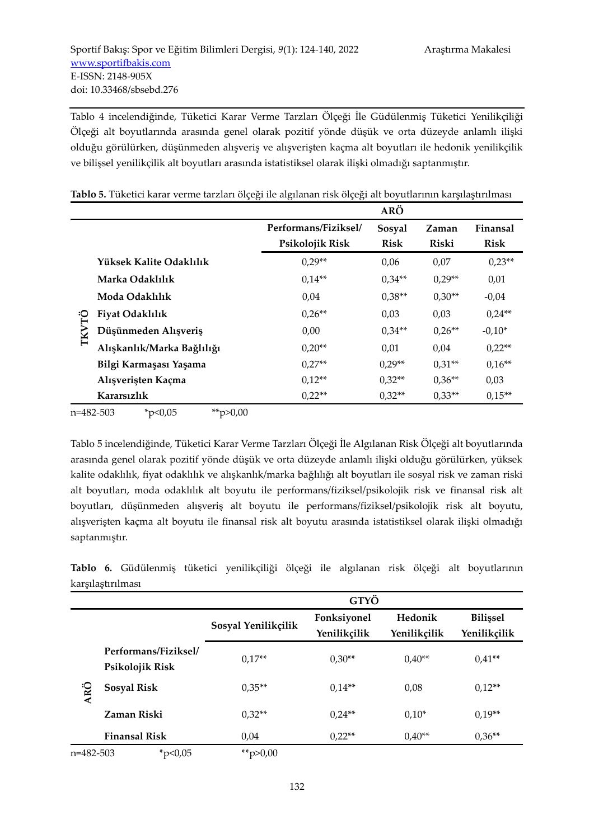Tablo 4 incelendiğinde, Tüketici Karar Verme Tarzları Ölçeği İle Güdülenmiş Tüketici Yenilikçiliği Ölçeği alt boyutlarında arasında genel olarak pozitif yönde düşük ve orta düzeyde anlamlı ilişki olduğu görülürken, düşünmeden alışveriş ve alışverişten kaçma alt boyutları ile hedonik yenilikçilik ve bilişsel yenilikçilik alt boyutları arasında istatistiksel olarak ilişki olmadığı saptanmıştır.

|              |                                   |                      | ARÖ         |              |             |
|--------------|-----------------------------------|----------------------|-------------|--------------|-------------|
|              |                                   | Performans/Fiziksel/ | Sosyal      | Zaman        | Finansal    |
|              |                                   | Psikolojik Risk      | <b>Risk</b> | <b>Riski</b> | <b>Risk</b> |
|              | Yüksek Kalite Odaklılık           | $0.29**$             | 0,06        | 0,07         | $0.23**$    |
|              | Marka Odaklılık                   | $0.14**$             | $0.34**$    | $0.29**$     | 0,01        |
|              | Moda Odaklılık<br>Fiyat Odaklılık | 0,04                 | $0.38**$    | $0.30**$     | $-0.04$     |
|              |                                   | $0.26**$             | 0,03        | 0,03         | $0.24**$    |
| <b>TKVTÖ</b> | Düşünmeden Alışveriş              | 0,00                 | $0.34**$    | $0.26**$     | $-0.10*$    |
|              | Alışkanlık/Marka Bağlılığı        | $0.20**$             | 0,01        | 0,04         | $0.22**$    |
|              | Bilgi Karmaşası Yaşama            | $0.27**$             | $0.29**$    | $0.31**$     | $0.16**$    |
|              | Alışverişten Kaçma                | $0.12**$             | $0.32**$    | $0.36**$     | 0,03        |
|              | Kararsızlık                       | $0.22**$             | $0.32**$    | $0.33**$     | $0.15**$    |

**Tablo 5.** Tüketici karar verme tarzları ölçeği ile algılanan risk ölçeği alt boyutlarının karşılaştırılması

```
n=482-503 *p<0,05 **p>0,00
```
Tablo 5 incelendiğinde, Tüketici Karar Verme Tarzları Ölçeği İle Algılanan Risk Ölçeği alt boyutlarında arasında genel olarak pozitif yönde düşük ve orta düzeyde anlamlı ilişki olduğu görülürken, yüksek kalite odaklılık, fiyat odaklılık ve alışkanlık/marka bağlılığı alt boyutları ile sosyal risk ve zaman riski alt boyutları, moda odaklılık alt boyutu ile performans/fiziksel/psikolojik risk ve finansal risk alt boyutları, düşünmeden alışveriş alt boyutu ile performans/fiziksel/psikolojik risk alt boyutu, alışverişten kaçma alt boyutu ile finansal risk alt boyutu arasında istatistiksel olarak ilişki olmadığı saptanmıştır.

**Tablo 6.** Güdülenmiş tüketici yenilikçiliği ölçeği ile algılanan risk ölçeği alt boyutlarının karşılaştırılması

|           |                                         |                     | GTYÖ                        |                         |                                 |
|-----------|-----------------------------------------|---------------------|-----------------------------|-------------------------|---------------------------------|
|           |                                         | Sosyal Yenilikçilik | Fonksiyonel<br>Yenilikçilik | Hedonik<br>Yenilikçilik | <b>Bilissel</b><br>Yenilikçilik |
|           | Performans/Fiziksel/<br>Psikolojik Risk | $0.17**$            | $0,30**$                    | $0.40**$                | $0.41**$                        |
| ARÖ       | <b>Sosyal Risk</b>                      | $0.35**$            | $0.14**$                    | 0,08                    | $0.12**$                        |
|           | Zaman Riski                             | $0.32**$            | $0.24**$                    | $0.10*$                 | $0,19**$                        |
|           | <b>Finansal Risk</b>                    | 0,04                | $0.22**$                    | $0.40**$                | $0,36**$                        |
| n=482-503 | * $p<0,05$                              | ** $p > 0,00$       |                             |                         |                                 |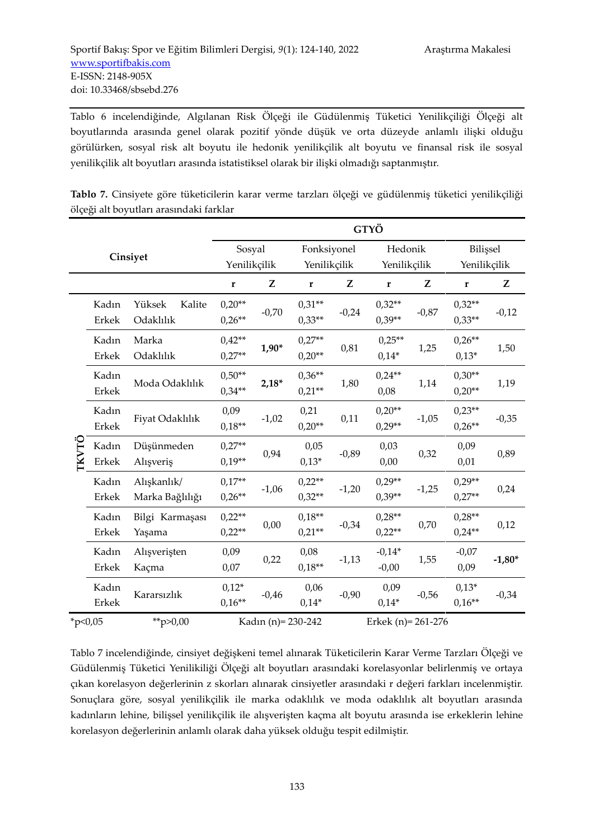Tablo 6 incelendiğinde, Algılanan Risk Ölçeği ile Güdülenmiş Tüketici Yenilikçiliği Ölçeği alt boyutlarında arasında genel olarak pozitif yönde düşük ve orta düzeyde anlamlı ilişki olduğu görülürken, sosyal risk alt boyutu ile hedonik yenilikçilik alt boyutu ve finansal risk ile sosyal yenilikçilik alt boyutları arasında istatistiksel olarak bir ilişki olmadığı saptanmıştır.

**Tablo 7.** Cinsiyete göre tüketicilerin karar verme tarzları ölçeği ve güdülenmiş tüketici yenilikçiliği ölçeği alt boyutları arasındaki farklar

|            |                       |                                |                      | GTYÖ    |                       |         |                      |         |                      |          |
|------------|-----------------------|--------------------------------|----------------------|---------|-----------------------|---------|----------------------|---------|----------------------|----------|
|            |                       | Cinsiyet                       | Sosyal               |         | Fonksiyonel           |         | Hedonik              |         | Bilişsel             |          |
|            |                       |                                | Yenilikçilik         |         | Yenilikçilik          |         | Yenilikçilik         |         | Yenilikçilik         |          |
|            |                       |                                | $\mathbf r$          | Z       | $\mathbf r$           | Z       | $\mathbf r$          | Z       | $\mathbf r$          | Z        |
|            | Kadın<br>Erkek        | Yüksek<br>Kalite<br>Odaklılık  | $0,20**$<br>$0.26**$ | $-0,70$ | $0.31**$<br>$0,33**$  | $-0,24$ | $0,32**$<br>$0,39**$ | $-0,87$ | $0,32**$<br>$0,33**$ | $-0,12$  |
|            | Kadın<br><b>Erkek</b> | Marka<br>Odaklılık             | $0.42**$<br>$0.27**$ | $1,90*$ | $0.27**$<br>$0,20**$  | 0,81    | $0.25**$<br>$0,14*$  | 1,25    | $0,26**$<br>$0,13*$  | 1,50     |
|            | Kadın<br>Erkek        | Moda Odaklılık                 | $0.50**$<br>$0.34**$ | $2,18*$ | $0,36**$<br>$0,21**$  | 1,80    | $0.24**$<br>0,08     | 1,14    | $0,30**$<br>$0,20**$ | 1,19     |
|            | Kadın<br><b>Erkek</b> | Fiyat Odaklılık                | 0,09<br>$0,18**$     | $-1,02$ | 0,21<br>$0,20**$      | 0,11    | $0,20**$<br>$0,29**$ | $-1,05$ | $0,23**$<br>$0,26**$ | $-0,35$  |
| TKVTÖ      | Kadın<br>Erkek        | Düşünmeden<br>Alışveriş        | $0.27**$<br>$0,19**$ | 0,94    | 0,05<br>$0,13*$       | $-0,89$ | 0,03<br>0,00         | 0,32    | 0,09<br>0,01         | 0,89     |
|            | Kadın<br>Erkek        | Alışkanlık/<br>Marka Bağlılığı | $0.17**$<br>$0,26**$ | $-1,06$ | $0,22**$<br>$0,32**$  | $-1,20$ | $0,29**$<br>$0,39**$ | $-1,25$ | $0,29**$<br>$0,27**$ | 0,24     |
|            | Kadın<br>Erkek        | Bilgi Karmaşası<br>Yaşama      | $0.22**$<br>$0,22**$ | 0,00    | $0.18**$<br>$0,21**$  | $-0,34$ | $0,28**$<br>$0.22**$ | 0,70    | $0.28**$<br>$0,24**$ | 0,12     |
|            | Kadın<br><b>Erkek</b> | Alışverişten<br>Kaçma          | 0,09<br>0,07         | 0,22    | 0,08<br>$0.18**$      | $-1,13$ | $-0.14*$<br>$-0,00$  | 1,55    | $-0,07$<br>0,09      | $-1,80*$ |
|            | Kadın<br><b>Erkek</b> | Kararsızlık                    | $0,12*$<br>$0,16**$  | $-0,46$ | 0,06<br>$0,14*$       | $-0,90$ | 0,09<br>$0,14*$      | $-0,56$ | $0,13*$<br>$0,16**$  | $-0,34$  |
| * $p<0,05$ |                       | **p>0,00                       | Kadın (n) = 230-242  |         | Erkek (n) = $261-276$ |         |                      |         |                      |          |

Tablo 7 incelendiğinde, cinsiyet değişkeni temel alınarak Tüketicilerin Karar Verme Tarzları Ölçeği ve Güdülenmiş Tüketici Yenilikiliği Ölçeği alt boyutları arasındaki korelasyonlar belirlenmiş ve ortaya çıkan korelasyon değerlerinin z skorları alınarak cinsiyetler arasındaki r değeri farkları incelenmiştir. Sonuçlara göre, sosyal yenilikçilik ile marka odaklılık ve moda odaklılık alt boyutları arasında kadınların lehine, bilişsel yenilikçilik ile alışverişten kaçma alt boyutu arasında ise erkeklerin lehine korelasyon değerlerinin anlamlı olarak daha yüksek olduğu tespit edilmiştir.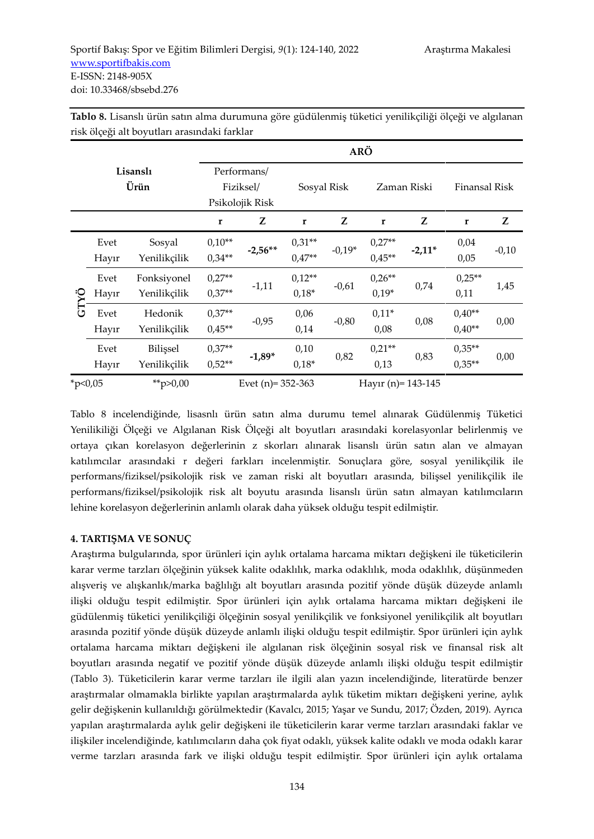|              |                  |                             |                      |                                             |                      | <b>ARÖ</b> |                       |          |                      |         |
|--------------|------------------|-----------------------------|----------------------|---------------------------------------------|----------------------|------------|-----------------------|----------|----------------------|---------|
|              | Lisanslı<br>Ürün |                             |                      | Performans/<br>Fiziksel/<br>Psikolojik Risk | Sosyal Risk          |            | Zaman Riski           |          | Finansal Risk        |         |
|              |                  |                             | $\mathbf{r}$         | Z                                           | r                    | Z          | $\mathbf{r}$          | Z        | $\mathbf{r}$         | Z       |
|              | Evet<br>Hayır    | Sosyal<br>Yenilikçilik      | $0,10**$<br>$0.34**$ | $-2,56**$                                   | $0.31**$<br>$0.47**$ | $-0.19*$   | $0.27**$<br>$0.45**$  | $-2,11*$ | 0,04<br>0,05         | $-0,10$ |
|              | Evet<br>Hayır    | Fonksiyonel<br>Yenilikçilik | $0.27**$<br>$0.37**$ | $-1,11$                                     | $0,12**$<br>$0.18*$  | $-0,61$    | $0,26**$<br>$0,19*$   | 0,74     | $0.25**$<br>0,11     | 1,45    |
| GTYÖ         | Evet<br>Hayır    | Hedonik<br>Yenilikçilik     | $0.37**$<br>$0.45**$ | $-0,95$                                     | 0,06<br>0,14         | $-0,80$    | $0,11*$<br>0,08       | 0,08     | $0.40**$<br>$0.40**$ | 0,00    |
|              | Evet<br>Hayır    | Bilissel<br>Yenilikçilik    | $0.37**$<br>$0.52**$ | $-1,89*$                                    | 0,10<br>$0.18*$      | 0,82       | $0.21**$<br>0,13      | 0,83     | $0,35**$<br>$0.35**$ | 0,00    |
| $*_{p<0,05}$ |                  | **p>0,00                    |                      | Evet $(n)$ = 352-363                        |                      |            | Hayir (n) = $143-145$ |          |                      |         |

**Tablo 8.** Lisanslı ürün satın alma durumuna göre güdülenmiş tüketici yenilikçiliği ölçeği ve algılanan risk ölçeği alt boyutları arasındaki farklar

Tablo 8 incelendiğinde, lisasnlı ürün satın alma durumu temel alınarak Güdülenmiş Tüketici Yenilikiliği Ölçeği ve Algılanan Risk Ölçeği alt boyutları arasındaki korelasyonlar belirlenmiş ve ortaya çıkan korelasyon değerlerinin z skorları alınarak lisanslı ürün satın alan ve almayan katılımcılar arasındaki r değeri farkları incelenmiştir. Sonuçlara göre, sosyal yenilikçilik ile performans/fiziksel/psikolojik risk ve zaman riski alt boyutları arasında, bilişsel yenilikçilik ile performans/fiziksel/psikolojik risk alt boyutu arasında lisanslı ürün satın almayan katılımcıların lehine korelasyon değerlerinin anlamlı olarak daha yüksek olduğu tespit edilmiştir.

# **4. TARTIŞMA VE SONUÇ**

Araştırma bulgularında, spor ürünleri için aylık ortalama harcama miktarı değişkeni ile tüketicilerin karar verme tarzları ölçeğinin yüksek kalite odaklılık, marka odaklılık, moda odaklılık, düşünmeden alışveriş ve alışkanlık/marka bağlılığı alt boyutları arasında pozitif yönde düşük düzeyde anlamlı ilişki olduğu tespit edilmiştir. Spor ürünleri için aylık ortalama harcama miktarı değişkeni ile güdülenmiş tüketici yenilikçiliği ölçeğinin sosyal yenilikçilik ve fonksiyonel yenilikçilik alt boyutları arasında pozitif yönde düşük düzeyde anlamlı ilişki olduğu tespit edilmiştir. Spor ürünleri için aylık ortalama harcama miktarı değişkeni ile algılanan risk ölçeğinin sosyal risk ve finansal risk alt boyutları arasında negatif ve pozitif yönde düşük düzeyde anlamlı ilişki olduğu tespit edilmiştir (Tablo 3). Tüketicilerin karar verme tarzları ile ilgili alan yazın incelendiğinde, literatürde benzer araştırmalar olmamakla birlikte yapılan araştırmalarda aylık tüketim miktarı değişkeni yerine, aylık gelir değişkenin kullanıldığı görülmektedir (Kavalcı, 2015; Yaşar ve Sundu, 2017; Özden, 2019). Ayrıca yapılan araştırmalarda aylık gelir değişkeni ile tüketicilerin karar verme tarzları arasındaki faklar ve ilişkiler incelendiğinde, katılımcıların daha çok fiyat odaklı, yüksek kalite odaklı ve moda odaklı karar verme tarzları arasında fark ve ilişki olduğu tespit edilmiştir. Spor ürünleri için aylık ortalama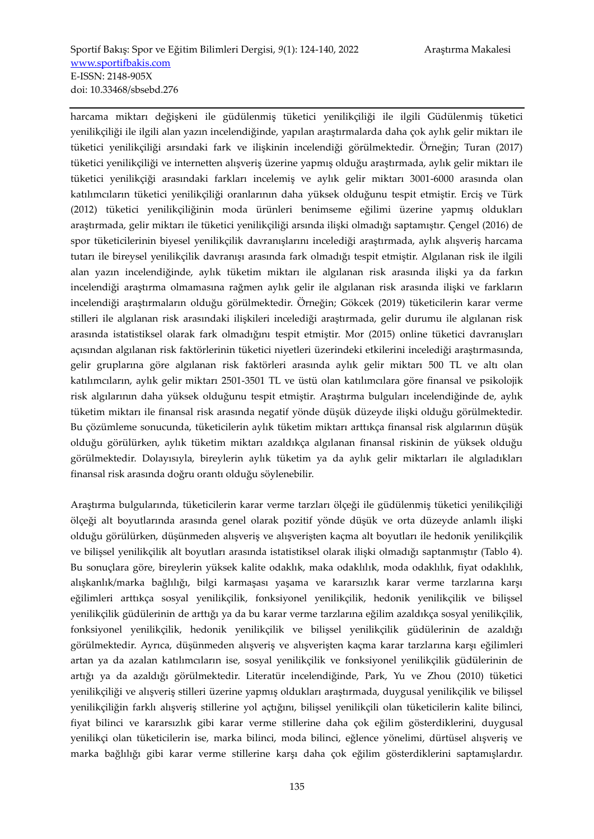harcama miktarı değişkeni ile güdülenmiş tüketici yenilikçiliği ile ilgili Güdülenmiş tüketici yenilikçiliği ile ilgili alan yazın incelendiğinde, yapılan araştırmalarda daha çok aylık gelir miktarı ile tüketici yenilikçiliği arsındaki fark ve ilişkinin incelendiği görülmektedir. Örneğin; Turan (2017) tüketici yenilikçiliği ve internetten alışveriş üzerine yapmış olduğu araştırmada, aylık gelir miktarı ile tüketici yenilikçiği arasındaki farkları incelemiş ve aylık gelir miktarı 3001-6000 arasında olan katılımcıların tüketici yenilikçiliği oranlarının daha yüksek olduğunu tespit etmiştir. Erciş ve Türk (2012) tüketici yenilikçiliğinin moda ürünleri benimseme eğilimi üzerine yapmış oldukları araştırmada, gelir miktarı ile tüketici yenilikçiliği arsında ilişki olmadığı saptamıştır. Çengel (2016) de spor tüketicilerinin biyesel yenilikçilik davranışlarını incelediği araştırmada, aylık alışveriş harcama tutarı ile bireysel yenilikçilik davranışı arasında fark olmadığı tespit etmiştir. Algılanan risk ile ilgili alan yazın incelendiğinde, aylık tüketim miktarı ile algılanan risk arasında ilişki ya da farkın incelendiği araştırma olmamasına rağmen aylık gelir ile algılanan risk arasında ilişki ve farkların incelendiği araştırmaların olduğu görülmektedir. Örneğin; Gökcek (2019) tüketicilerin karar verme stilleri ile algılanan risk arasındaki ilişkileri incelediği araştırmada, gelir durumu ile algılanan risk arasında istatistiksel olarak fark olmadığını tespit etmiştir. Mor (2015) online tüketici davranışları açısından algılanan risk faktörlerinin tüketici niyetleri üzerindeki etkilerini incelediği araştırmasında, gelir gruplarına göre algılanan risk faktörleri arasında aylık gelir miktarı 500 TL ve altı olan katılımcıların, aylık gelir miktarı 2501-3501 TL ve üstü olan katılımcılara göre finansal ve psikolojik risk algılarının daha yüksek olduğunu tespit etmiştir. Araştırma bulguları incelendiğinde de, aylık tüketim miktarı ile finansal risk arasında negatif yönde düşük düzeyde ilişki olduğu görülmektedir. Bu çözümleme sonucunda, tüketicilerin aylık tüketim miktarı arttıkça finansal risk algılarının düşük olduğu görülürken, aylık tüketim miktarı azaldıkça algılanan finansal riskinin de yüksek olduğu görülmektedir. Dolayısıyla, bireylerin aylık tüketim ya da aylık gelir miktarları ile algıladıkları finansal risk arasında doğru orantı olduğu söylenebilir.

Araştırma bulgularında, tüketicilerin karar verme tarzları ölçeği ile güdülenmiş tüketici yenilikçiliği ölçeği alt boyutlarında arasında genel olarak pozitif yönde düşük ve orta düzeyde anlamlı ilişki olduğu görülürken, düşünmeden alışveriş ve alışverişten kaçma alt boyutları ile hedonik yenilikçilik ve bilişsel yenilikçilik alt boyutları arasında istatistiksel olarak ilişki olmadığı saptanmıştır (Tablo 4). Bu sonuçlara göre, bireylerin yüksek kalite odaklık, maka odaklılık, moda odaklılık, fiyat odaklılık, alışkanlık/marka bağlılığı, bilgi karmaşası yaşama ve kararsızlık karar verme tarzlarına karşı eğilimleri arttıkça sosyal yenilikçilik, fonksiyonel yenilikçilik, hedonik yenilikçilik ve bilişsel yenilikçilik güdülerinin de arttığı ya da bu karar verme tarzlarına eğilim azaldıkça sosyal yenilikçilik, fonksiyonel yenilikçilik, hedonik yenilikçilik ve bilişsel yenilikçilik güdülerinin de azaldığı görülmektedir. Ayrıca, düşünmeden alışveriş ve alışverişten kaçma karar tarzlarına karşı eğilimleri artan ya da azalan katılımcıların ise, sosyal yenilikçilik ve fonksiyonel yenilikçilik güdülerinin de artığı ya da azaldığı görülmektedir. Literatür incelendiğinde, Park, Yu ve Zhou (2010) tüketici yenilikçiliği ve alışveriş stilleri üzerine yapmış oldukları araştırmada, duygusal yenilikçilik ve bilişsel yenilikçiliğin farklı alışveriş stillerine yol açtığını, bilişsel yenilikçili olan tüketicilerin kalite bilinci, fiyat bilinci ve kararsızlık gibi karar verme stillerine daha çok eğilim gösterdiklerini, duygusal yenilikçi olan tüketicilerin ise, marka bilinci, moda bilinci, eğlence yönelimi, dürtüsel alışveriş ve marka bağlılığı gibi karar verme stillerine karşı daha çok eğilim gösterdiklerini saptamışlardır.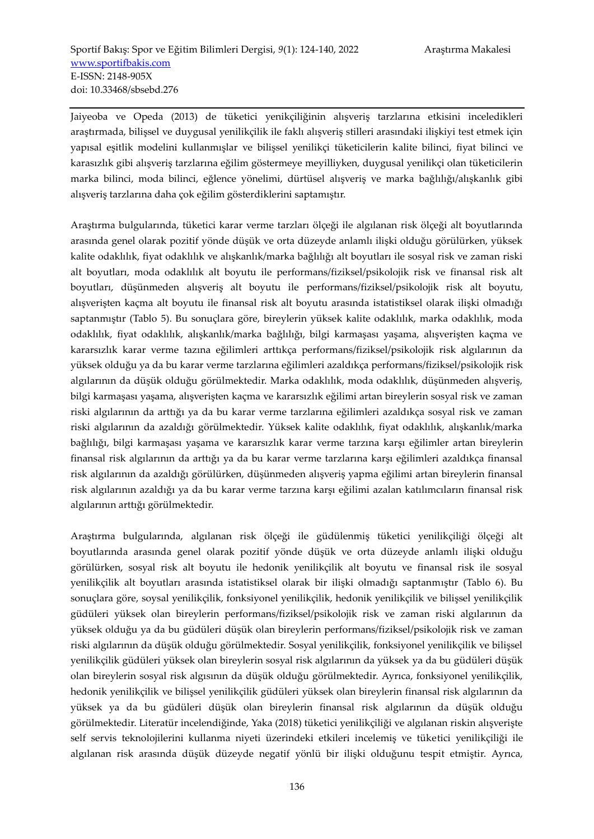Jaiyeoba ve Opeda (2013) de tüketici yenikçiliğinin alışveriş tarzlarına etkisini inceledikleri araştırmada, bilişsel ve duygusal yenilikçilik ile faklı alışveriş stilleri arasındaki ilişkiyi test etmek için yapısal eşitlik modelini kullanmışlar ve bilişsel yenilikçi tüketicilerin kalite bilinci, fiyat bilinci ve karasızlık gibi alışveriş tarzlarına eğilim göstermeye meyilliyken, duygusal yenilikçi olan tüketicilerin marka bilinci, moda bilinci, eğlence yönelimi, dürtüsel alışveriş ve marka bağlılığı/alışkanlık gibi alışveriş tarzlarına daha çok eğilim gösterdiklerini saptamıştır.

Araştırma bulgularında, tüketici karar verme tarzları ölçeği ile algılanan risk ölçeği alt boyutlarında arasında genel olarak pozitif yönde düşük ve orta düzeyde anlamlı ilişki olduğu görülürken, yüksek kalite odaklılık, fiyat odaklılık ve alışkanlık/marka bağlılığı alt boyutları ile sosyal risk ve zaman riski alt boyutları, moda odaklılık alt boyutu ile performans/fiziksel/psikolojik risk ve finansal risk alt boyutları, düşünmeden alışveriş alt boyutu ile performans/fiziksel/psikolojik risk alt boyutu, alışverişten kaçma alt boyutu ile finansal risk alt boyutu arasında istatistiksel olarak ilişki olmadığı saptanmıştır (Tablo 5). Bu sonuçlara göre, bireylerin yüksek kalite odaklılık, marka odaklılık, moda odaklılık, fiyat odaklılık, alışkanlık/marka bağlılığı, bilgi karmaşası yaşama, alışverişten kaçma ve kararsızlık karar verme tazına eğilimleri arttıkça performans/fiziksel/psikolojik risk algılarının da yüksek olduğu ya da bu karar verme tarzlarına eğilimleri azaldıkça performans/fiziksel/psikolojik risk algılarının da düşük olduğu görülmektedir. Marka odaklılık, moda odaklılık, düşünmeden alışveriş, bilgi karmaşası yaşama, alışverişten kaçma ve kararsızlık eğilimi artan bireylerin sosyal risk ve zaman riski algılarının da arttığı ya da bu karar verme tarzlarına eğilimleri azaldıkça sosyal risk ve zaman riski algılarının da azaldığı görülmektedir. Yüksek kalite odaklılık, fiyat odaklılık, alışkanlık/marka bağlılığı, bilgi karmaşası yaşama ve kararsızlık karar verme tarzına karşı eğilimler artan bireylerin finansal risk algılarının da arttığı ya da bu karar verme tarzlarına karşı eğilimleri azaldıkça finansal risk algılarının da azaldığı görülürken, düşünmeden alışveriş yapma eğilimi artan bireylerin finansal risk algılarının azaldığı ya da bu karar verme tarzına karşı eğilimi azalan katılımcıların finansal risk algılarının arttığı görülmektedir.

Araştırma bulgularında, algılanan risk ölçeği ile güdülenmiş tüketici yenilikçiliği ölçeği alt boyutlarında arasında genel olarak pozitif yönde düşük ve orta düzeyde anlamlı ilişki olduğu görülürken, sosyal risk alt boyutu ile hedonik yenilikçilik alt boyutu ve finansal risk ile sosyal yenilikçilik alt boyutları arasında istatistiksel olarak bir ilişki olmadığı saptanmıştır (Tablo 6). Bu sonuçlara göre, soysal yenilikçilik, fonksiyonel yenilikçilik, hedonik yenilikçilik ve bilişsel yenilikçilik güdüleri yüksek olan bireylerin performans/fiziksel/psikolojik risk ve zaman riski algılarının da yüksek olduğu ya da bu güdüleri düşük olan bireylerin performans/fiziksel/psikolojik risk ve zaman riski algılarının da düşük olduğu görülmektedir. Sosyal yenilikçilik, fonksiyonel yenilikçilik ve bilişsel yenilikçilik güdüleri yüksek olan bireylerin sosyal risk algılarının da yüksek ya da bu güdüleri düşük olan bireylerin sosyal risk algısının da düşük olduğu görülmektedir. Ayrıca, fonksiyonel yenilikçilik, hedonik yenilikçilik ve bilişsel yenilikçilik güdüleri yüksek olan bireylerin finansal risk algılarının da yüksek ya da bu güdüleri düşük olan bireylerin finansal risk algılarının da düşük olduğu görülmektedir. Literatür incelendiğinde, Yaka (2018) tüketici yenilikçiliği ve algılanan riskin alışverişte self servis teknolojilerini kullanma niyeti üzerindeki etkileri incelemiş ve tüketici yenilikçiliği ile algılanan risk arasında düşük düzeyde negatif yönlü bir ilişki olduğunu tespit etmiştir. Ayrıca,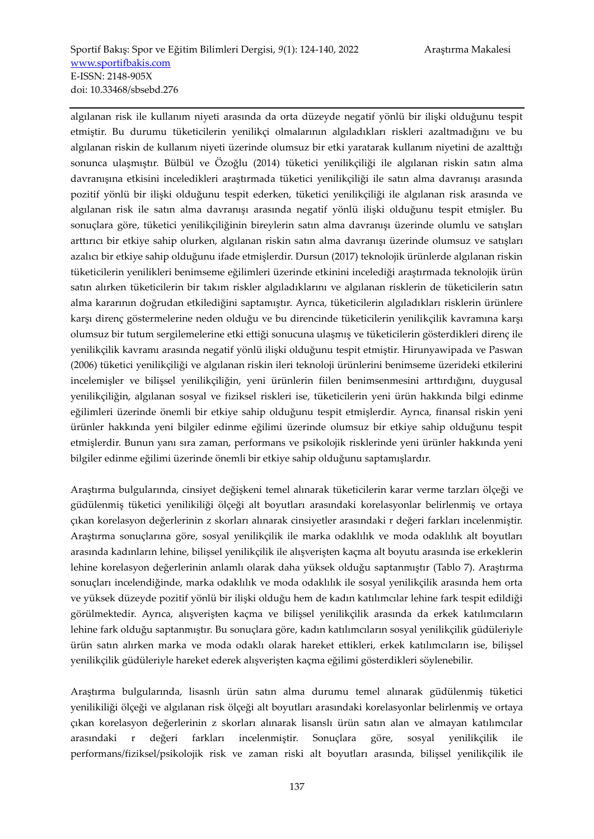algılanan risk ile kullanım niyeti arasında da orta düzeyde negatif yönlü bir ilişki olduğunu tespit etmiştir. Bu durumu tüketicilerin yenilikçi olmalarının algıladıkları riskleri azaltmadığını ve bu algılanan riskin de kullanım niyeti üzerinde olumsuz bir etki yaratarak kullanım niyetini de azalttığı sonunca ulaşmıştır. Bülbül ve Özoğlu (2014) tüketici yenilikçiliği ile algılanan riskin satın alma davranışına etkisini inceledikleri araştırmada tüketici yenilikçiliği ile satın alma davranışı arasında pozitif yönlü bir ilişki olduğunu tespit ederken, tüketici yenilikçiliği ile algılanan risk arasında ve algılanan risk ile satın alma davranışı arasında negatif yönlü ilişki olduğunu tespit etmişler. Bu sonuçlara göre, tüketici yenilikçiliğinin bireylerin satın alma davranışı üzerinde olumlu ve satışları arttırıcı bir etkiye sahip olurken, algılanan riskin satın alma davranışı üzerinde olumsuz ve satışları azalıcı bir etkiye sahip olduğunu ifade etmişlerdir. Dursun (2017) teknolojik ürünlerde algılanan riskin tüketicilerin yenilikleri benimseme eğilimleri üzerinde etkinini incelediği araştırmada teknolojik ürün satın alırken tüketicilerin bir takım riskler algıladıklarını ve algılanan risklerin de tüketicilerin satın alma kararının doğrudan etkilediğini saptamıştır. Ayrıca, tüketicilerin algıladıkları risklerin ürünlere karşı direnç göstermelerine neden olduğu ve bu direncinde tüketicilerin yenilikçilik kavramına karşı olumsuz bir tutum sergilemelerine etki ettiği sonucuna ulaşmış ve tüketicilerin gösterdikleri direnç ile yenilikçilik kavramı arasında negatif yönlü ilişki olduğunu tespit etmiştir. Hirunyawipada ve Paswan (2006) tüketici yenilikçiliği ve algılanan riskin ileri teknoloji ürünlerini benimseme üzerideki etkilerini incelemişler ve bilişsel yenilikçiliğin, yeni ürünlerin fiilen benimsenmesini arttırdığını, duygusal yenilikçiliğin, algılanan sosyal ve fiziksel riskleri ise, tüketicilerin yeni ürün hakkında bilgi edinme eğilimleri üzerinde önemli bir etkiye sahip olduğunu tespit etmişlerdir. Ayrıca, finansal riskin yeni ürünler hakkında yeni bilgiler edinme eğilimi üzerinde olumsuz bir etkiye sahip olduğunu tespit etmişlerdir. Bunun yanı sıra zaman, performans ve psikolojik risklerinde yeni ürünler hakkında yeni bilgiler edinme eğilimi üzerinde önemli bir etkiye sahip olduğunu saptamışlardır.

Araştırma bulgularında, cinsiyet değişkeni temel alınarak tüketicilerin karar verme tarzları ölçeği ve güdülenmiş tüketici yenilikiliği ölçeği alt boyutları arasındaki korelasyonlar belirlenmiş ve ortaya çıkan korelasyon değerlerinin z skorları alınarak cinsiyetler arasındaki r değeri farkları incelenmiştir. Araştırma sonuçlarına göre, sosyal yenilikçilik ile marka odaklılık ve moda odaklılık alt boyutları arasında kadınların lehine, bilişsel yenilikçilik ile alışverişten kaçma alt boyutu arasında ise erkeklerin lehine korelasyon değerlerinin anlamlı olarak daha yüksek olduğu saptanmıştır (Tablo 7). Araştırma sonuçları incelendiğinde, marka odaklılık ve moda odaklılık ile sosyal yenilikçilik arasında hem orta ve yüksek düzeyde pozitif yönlü bir ilişki olduğu hem de kadın katılımcılar lehine fark tespit edildiği görülmektedir. Ayrıca, alışverişten kaçma ve bilişsel yenilikçilik arasında da erkek katılımcıların lehine fark olduğu saptanmıştır. Bu sonuçlara göre, kadın katılımcıların sosyal yenilikçilik güdüleriyle ürün satın alırken marka ve moda odaklı olarak hareket ettikleri, erkek katılımcıların ise, bilişsel yenilikçilik güdüleriyle hareket ederek alışverişten kaçma eğilimi gösterdikleri söylenebilir.

Araştırma bulgularında, lisasnlı ürün satın alma durumu temel alınarak güdülenmiş tüketici yenilikiliği ölçeği ve algılanan risk ölçeği alt boyutları arasındaki korelasyonlar belirlenmiş ve ortaya çıkan korelasyon değerlerinin z skorları alınarak lisanslı ürün satın alan ve almayan katılımcılar arasındaki r değeri farkları incelenmiştir. Sonuçlara göre, sosyal yenilikçilik ile performans/fiziksel/psikolojik risk ve zaman riski alt boyutları arasında, bilişsel yenilikçilik ile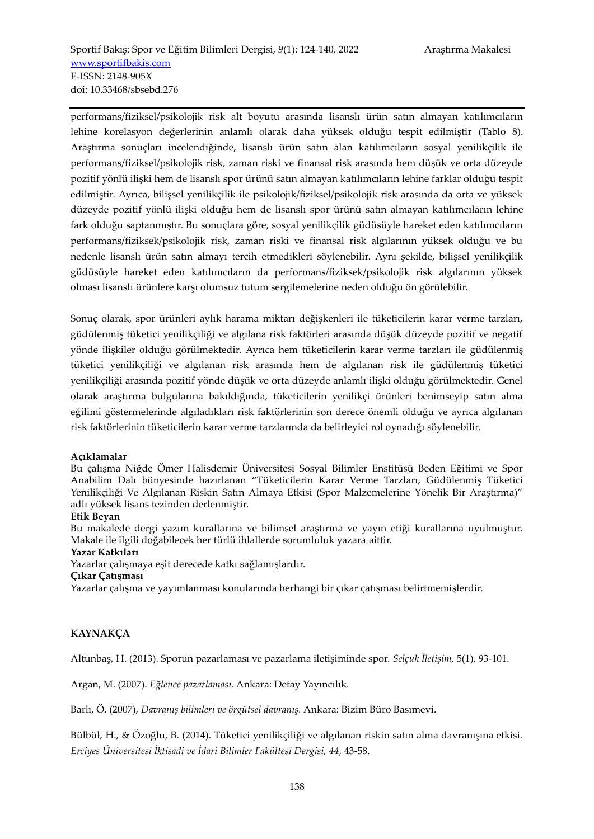performans/fiziksel/psikolojik risk alt boyutu arasında lisanslı ürün satın almayan katılımcıların lehine korelasyon değerlerinin anlamlı olarak daha yüksek olduğu tespit edilmiştir (Tablo 8). Araştırma sonuçları incelendiğinde, lisanslı ürün satın alan katılımcıların sosyal yenilikçilik ile performans/fiziksel/psikolojik risk, zaman riski ve finansal risk arasında hem düşük ve orta düzeyde pozitif yönlü ilişki hem de lisanslı spor ürünü satın almayan katılımcıların lehine farklar olduğu tespit edilmiştir. Ayrıca, bilişsel yenilikçilik ile psikolojik/fiziksel/psikolojik risk arasında da orta ve yüksek düzeyde pozitif yönlü ilişki olduğu hem de lisanslı spor ürünü satın almayan katılımcıların lehine fark olduğu saptanmıştır. Bu sonuçlara göre, sosyal yenilikçilik güdüsüyle hareket eden katılımcıların performans/fiziksek/psikolojik risk, zaman riski ve finansal risk algılarının yüksek olduğu ve bu nedenle lisanslı ürün satın almayı tercih etmedikleri söylenebilir. Aynı şekilde, bilişsel yenilikçilik güdüsüyle hareket eden katılımcıların da performans/fiziksek/psikolojik risk algılarının yüksek olması lisanslı ürünlere karşı olumsuz tutum sergilemelerine neden olduğu ön görülebilir.

Sonuç olarak, spor ürünleri aylık harama miktarı değişkenleri ile tüketicilerin karar verme tarzları, güdülenmiş tüketici yenilikçiliği ve algılana risk faktörleri arasında düşük düzeyde pozitif ve negatif yönde ilişkiler olduğu görülmektedir. Ayrıca hem tüketicilerin karar verme tarzları ile güdülenmiş tüketici yenilikçiliği ve algılanan risk arasında hem de algılanan risk ile güdülenmiş tüketici yenilikçiliği arasında pozitif yönde düşük ve orta düzeyde anlamlı ilişki olduğu görülmektedir. Genel olarak araştırma bulgularına bakıldığında, tüketicilerin yenilikçi ürünleri benimseyip satın alma eğilimi göstermelerinde algıladıkları risk faktörlerinin son derece önemli olduğu ve ayrıca algılanan risk faktörlerinin tüketicilerin karar verme tarzlarında da belirleyici rol oynadığı söylenebilir.

#### **Açıklamalar**

Bu çalışma Niğde Ömer Halisdemir Üniversitesi Sosyal Bilimler Enstitüsü Beden Eğitimi ve Spor Anabilim Dalı bünyesinde hazırlanan "Tüketicilerin Karar Verme Tarzları, Güdülenmiş Tüketici Yenilikçiliği Ve Algılanan Riskin Satın Almaya Etkisi (Spor Malzemelerine Yönelik Bir Araştırma)" adlı yüksek lisans tezinden derlenmiştir.

#### **Etik Beyan**

Bu makalede dergi yazım kurallarına ve bilimsel araştırma ve yayın etiği kurallarına uyulmuştur. Makale ile ilgili doğabilecek her türlü ihlallerde sorumluluk yazara aittir.

#### **Yazar Katkıları**

Yazarlar çalışmaya eşit derecede katkı sağlamışlardır.

#### **Çıkar Çatışması**

Yazarlar çalışma ve yayımlanması konularında herhangi bir çıkar çatışması belirtmemişlerdir.

# **KAYNAKÇA**

Altunbaş, H. (2013). Sporun pazarlaması ve pazarlama iletişiminde spor. *Selçuk İletişim,* 5(1), 93-101.

Argan, M. (2007). *Eğlence pazarlaması*. Ankara: Detay Yayıncılık.

Barlı, Ö. (2007), *Davranış bilimleri ve örgütsel davranış.* Ankara: Bizim Büro Basımevi.

Bülbül, H., & Özoğlu, B. (2014). Tüketici yenilikçiliği ve algılanan riskin satın alma davranışına etkisi. *Erciyes Üniversitesi İktisadi ve İdari Bilimler Fakültesi Dergisi, 44*, 43-58.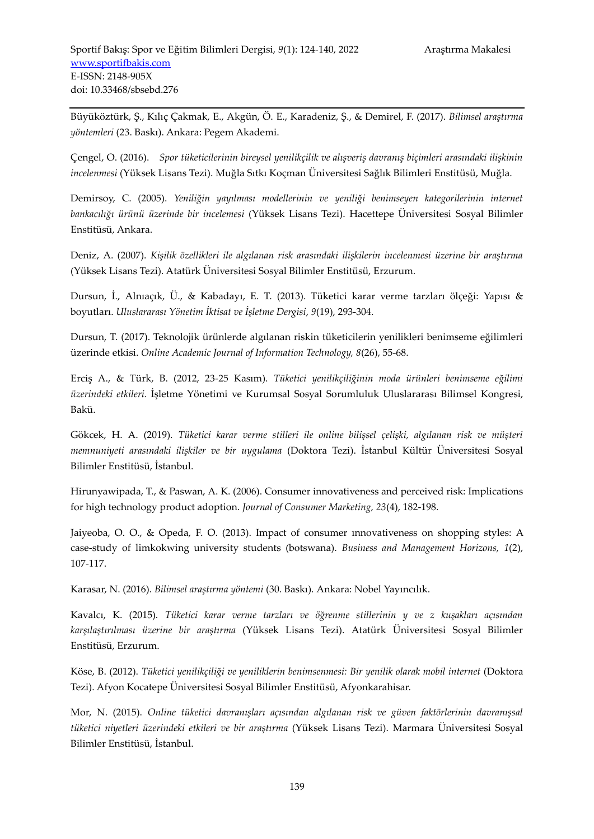Büyüköztürk, Ş., Kılıç Çakmak, E., Akgün, Ö. E., Karadeniz, Ş., & Demirel, F. (2017). *Bilimsel araştırma yöntemleri* (23. Baskı). Ankara: Pegem Akademi.

Çengel, O. (2016). *Spor tüketicilerinin bireysel yenilikçilik ve alışveriş davranış biçimleri arasındaki ilişkinin incelenmesi* (Yüksek Lisans Tezi). Muğla Sıtkı Koçman Üniversitesi Sağlık Bilimleri Enstitüsü, Muğla.

Demirsoy, C. (2005). *Yeniliğin yayılması modellerinin ve yeniliği benimseyen kategorilerinin internet bankacılığı ürünü üzerinde bir incelemesi* (Yüksek Lisans Tezi). Hacettepe Üniversitesi Sosyal Bilimler Enstitüsü, Ankara.

Deniz, A. (2007). *Kişilik özellikleri ile algılanan risk arasındaki ilişkilerin incelenmesi üzerine bir araştırma*  (Yüksek Lisans Tezi). Atatürk Üniversitesi Sosyal Bilimler Enstitüsü, Erzurum.

Dursun, İ., Alnıaçık, Ü., & Kabadayı, E. T. (2013). Tüketici karar verme tarzları ölçeği: Yapısı & boyutları. *Uluslararası Yönetim İktisat ve İşletme Dergisi*, *9*(19), 293-304.

Dursun, T. (2017). Teknolojik ürünlerde algılanan riskin tüketicilerin yenilikleri benimseme eğilimleri üzerinde etkisi. *Online Academic Journal of Information Technology, 8*(26), 55-68.

Erciş A., & Türk, B. (2012, 23-25 Kasım). *Tüketici yenilikçiliğinin moda ürünleri benimseme eğilimi üzerindeki etkileri.* İşletme Yönetimi ve Kurumsal Sosyal Sorumluluk Uluslararası Bilimsel Kongresi, Bakü.

Gökcek, H. A. (2019). *Tüketici karar verme stilleri ile online bilişsel çelişki, algılanan risk ve müşteri memnuniyeti arasındaki ilişkiler ve bir uygulama* (Doktora Tezi). İstanbul Kültür Üniversitesi Sosyal Bilimler Enstitüsü, İstanbul.

Hirunyawipada, T., & Paswan, A. K. (2006). Consumer innovativeness and perceived risk: Implications for high technology product adoption. *Journal of Consumer Marketing, 23*(4), 182-198.

Jaiyeoba, O. O., & Opeda, F. O. (2013). Impact of consumer ınnovativeness on shopping styles: A case-study of limkokwing university students (botswana). *Business and Management Horizons, 1*(2), 107-117.

Karasar, N. (2016). *Bilimsel araştırma yöntemi* (30. Baskı). Ankara: Nobel Yayıncılık.

Kavalcı, K. (2015). *Tüketici karar verme tarzları ve öğrenme stillerinin y ve z kuşakları açısından karşılaştırılması üzerine bir araştırma* (Yüksek Lisans Tezi). Atatürk Üniversitesi Sosyal Bilimler Enstitüsü, Erzurum.

Köse, B. (2012). *Tüketici yenilikçiliği ve yeniliklerin benimsenmesi: Bir yenilik olarak mobil internet* (Doktora Tezi). Afyon Kocatepe Üniversitesi Sosyal Bilimler Enstitüsü, Afyonkarahisar.

Mor, N. (2015). *Online tüketici davranışları açısından algılanan risk ve güven faktörlerinin davranışsal tüketici niyetleri üzerindeki etkileri ve bir araştırma* (Yüksek Lisans Tezi). Marmara Üniversitesi Sosyal Bilimler Enstitüsü, İstanbul.